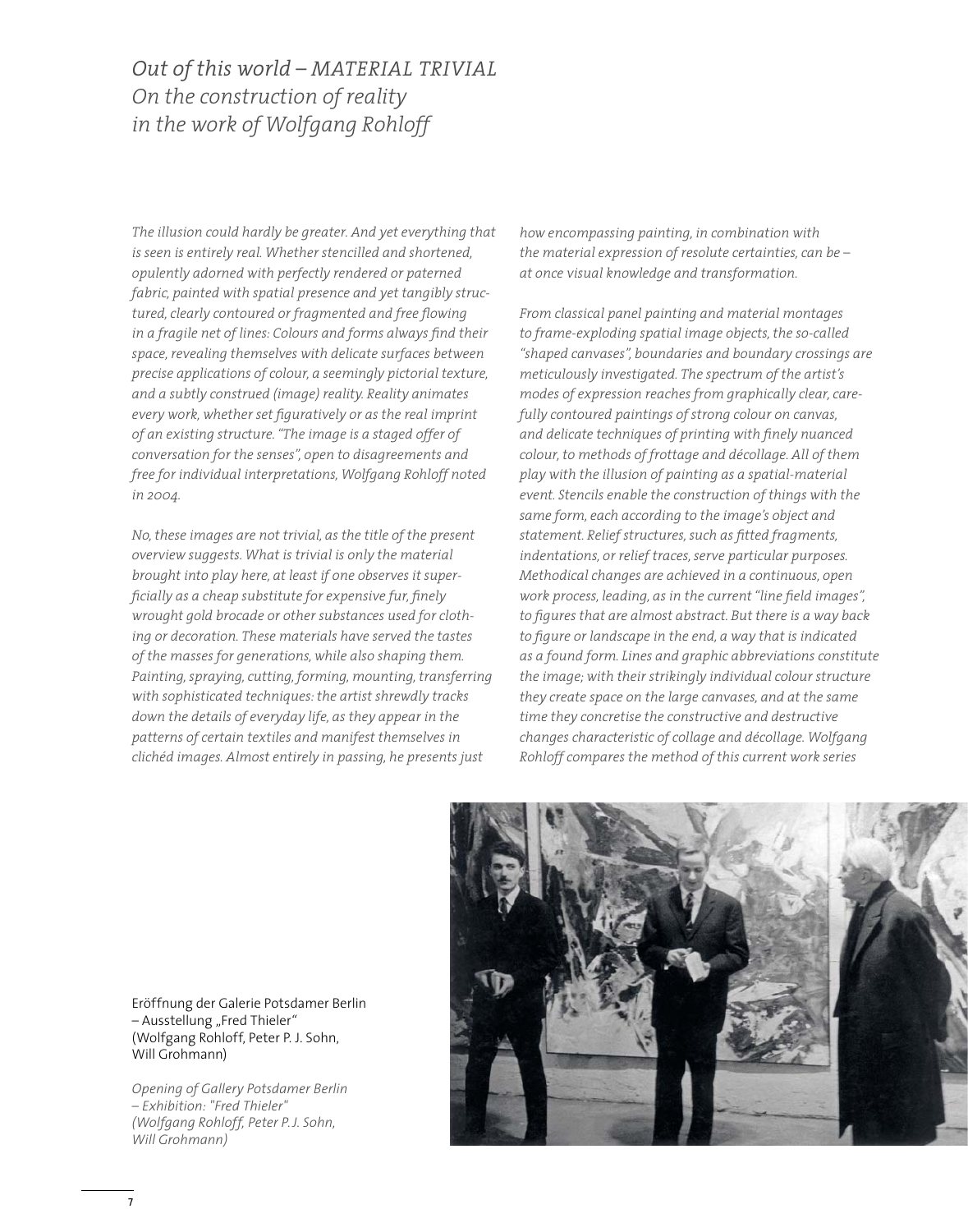## *Out of this world – MATERIAL TRIVIAL On the construction of reality in the work of Wolfgang Rohloff*

*The illusion could hardly be greater. And yet everything that is seen is entirely real. Whether stencilled and shortened, opulently adorned with perfectly rendered or paterned fabric, painted with spatial presence and yet tangibly structured, clearly contoured or fragmented and free flowing in a fragile net of lines: Colours and forms always find their space, revealing themselves with delicate surfaces between precise applications of colour, a seemingly pictorial texture, and a subtly construed (image) reality. Reality animates every work, whether set figuratively or as the real imprint of an existing structure. "The image is a staged offer of conversation for the senses", open to disagreements and free for individual interpretations, Wolfgang Rohloff noted in 2004.* 

*No, these images are not trivial, as the title of the present overview suggests. What is trivial is only the material brought into play here, at least if one observes it superficially as a cheap substitute for expensive fur, finely wrought gold brocade or other substances used for clothing or decoration. These materials have served the tastes of the masses for generations, while also shaping them. Painting, spraying, cutting, forming, mounting, transferring with sophisticated techniques: the artist shrewdly tracks down the details of everyday life, as they appear in the patterns of certain textiles and manifest themselves in clichéd images. Almost entirely in passing, he presents just* 

*how encompassing painting, in combination with the material expression of resolute certainties, can be – at once visual knowledge and transformation.*

*From classical panel painting and material montages to frame-exploding spatial image objects, the so-called "shaped canvases", boundaries and boundary crossings are meticulously investigated. The spectrum of the artist's modes of expression reaches from graphically clear, carefully contoured paintings of strong colour on canvas, and delicate techniques of printing with finely nuanced colour, to methods of frottage and décollage. All of them play with the illusion of painting as a spatial-material event. Stencils enable the construction of things with the same form, each according to the image's object and statement. Relief structures, such as fitted fragments, indentations, or relief traces, serve particular purposes. Methodical changes are achieved in a continuous, open work process, leading, as in the current "line field images", to figures that are almost abstract. But there is a way back to figure or landscape in the end, a way that is indicated as a found form. Lines and graphic abbreviations constitute the image; with their strikingly individual colour structure they create space on the large canvases, and at the same time they concretise the constructive and destructive changes characteristic of collage and décollage. Wolfgang Rohloff compares the method of this current work series* 



Eröffnung der Galerie Potsdamer Berlin – Ausstellung "Fred Thieler*"* (Wolfgang Rohloff, Peter P. J. Sohn, Will Grohmann)

*Opening of Gallery Potsdamer Berlin – Exhibition: "Fred Thieler" (Wolfgang Rohloff, Peter P.J. Sohn, Will Grohmann)*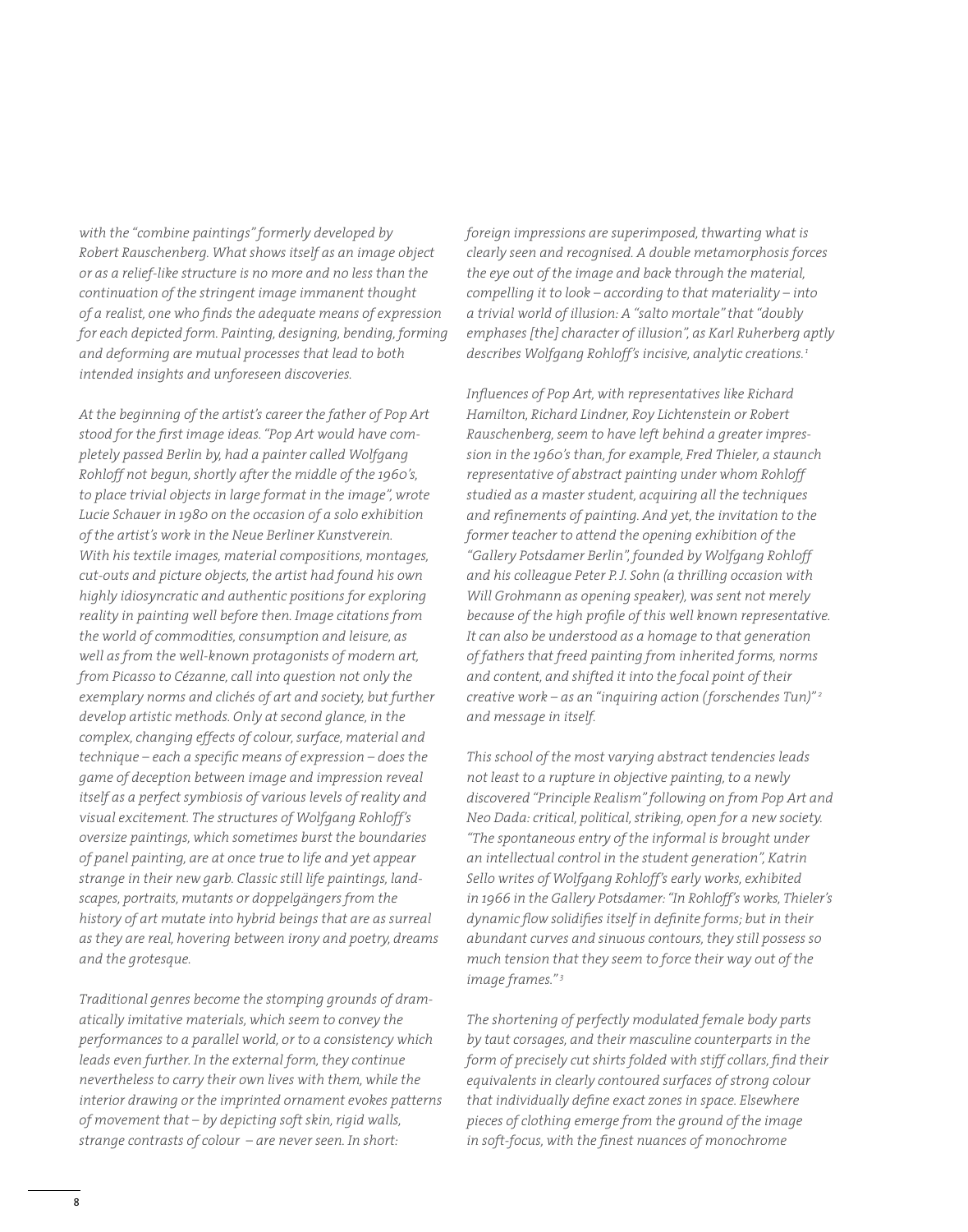*with the "combine paintings" formerly developed by Robert Rauschenberg. What shows itself as an image object or as a relief-like structure is no more and no less than the continuation of the stringent image immanent thought of a realist, one who finds the adequate means of expression for each depicted form. Painting, designing, bending, forming and deforming are mutual processes that lead to both intended insights and unforeseen discoveries.*

*At the beginning of the artist's career the father of Pop Art stood for the first image ideas. "Pop Art would have completely passed Berlin by, had a painter called Wolfgang Rohloff not begun, shortly after the middle of the 1960's, to place trivial objects in large format in the image", wrote Lucie Schauer in 1980 on the occasion of a solo exhibition of the artist's work in the Neue Berliner Kunstverein. With his textile images, material compositions, montages, cut-outs and picture objects, the artist had found his own highly idiosyncratic and authentic positions for exploring reality in painting well before then. Image citations from the world of commodities, consumption and leisure, as well as from the well-known protagonists of modern art, from Picasso to Cézanne, call into question not only the exemplary norms and clichés of art and society, but further develop artistic methods. Only at second glance, in the complex, changing effects of colour, surface, material and technique – each a specific means of expression – does the game of deception between image and impression reveal itself as a perfect symbiosis of various levels of reality and visual excitement. The structures of Wolfgang Rohloff's oversize paintings, which sometimes burst the boundaries of panel painting, are at once true to life and yet appear strange in their new garb. Classic still life paintings, landscapes, portraits, mutants or doppelgängers from the history of art mutate into hybrid beings that are as surreal as they are real, hovering between irony and poetry, dreams and the grotesque.*

*Traditional genres become the stomping grounds of dramatically imitative materials, which seem to convey the performances to a parallel world, or to a consistency which leads even further. In the external form, they continue nevertheless to carry their own lives with them, while the interior drawing or the imprinted ornament evokes patterns of movement that – by depicting soft skin, rigid walls, strange contrasts of colour – are never seen. In short:* 

*foreign impressions are superimposed, thwarting what is clearly seen and recognised. A double metamorphosis forces the eye out of the image and back through the material, compelling it to look – according to that materiality – into a trivial world of illusion: A "salto mortale" that "doubly emphases [the] character of illusion", as Karl Ruherberg aptly describes Wolfgang Rohloff's incisive, analytic creations.1* 

*Influences of Pop Art, with representatives like Richard Hamilton, Richard Lindner, Roy Lichtenstein or Robert Rauschenberg, seem to have left behind a greater impression in the 1960's than, for example, Fred Thieler, a staunch representative of abstract painting under whom Rohloff studied as a master student, acquiring all the techniques and refinements of painting. And yet, the invitation to the former teacher to attend the opening exhibition of the "Gallery Potsdamer Berlin", founded by Wolfgang Rohloff and his colleague Peter P. J. Sohn (a thrilling occasion with Will Grohmann as opening speaker), was sent not merely because of the high profile of this well known representative. It can also be understood as a homage to that generation of fathers that freed painting from inherited forms, norms and content, and shifted it into the focal point of their creative work – as an "inquiring action ( forschendes Tun)" 2 and message in itself.* 

*This school of the most varying abstract tendencies leads not least to a rupture in objective painting, to a newly discovered "Principle Realism" following on from Pop Art and Neo Dada: critical, political, striking, open for a new society. "The spontaneous entry of the informal is brought under an intellectual control in the student generation", Katrin Sello writes of Wolfgang Rohloff's early works, exhibited in 1966 in the Gallery Potsdamer: "In Rohloff's works, Thieler's dynamic flow solidifies itself in definite forms; but in their abundant curves and sinuous contours, they still possess so much tension that they seem to force their way out of the image frames." 3*

*The shortening of perfectly modulated female body parts by taut corsages, and their masculine counterparts in the form of precisely cut shirts folded with stiff collars, find their equivalents in clearly contoured surfaces of strong colour that individually define exact zones in space. Elsewhere pieces of clothing emerge from the ground of the image in soft-focus, with the finest nuances of monochrome*